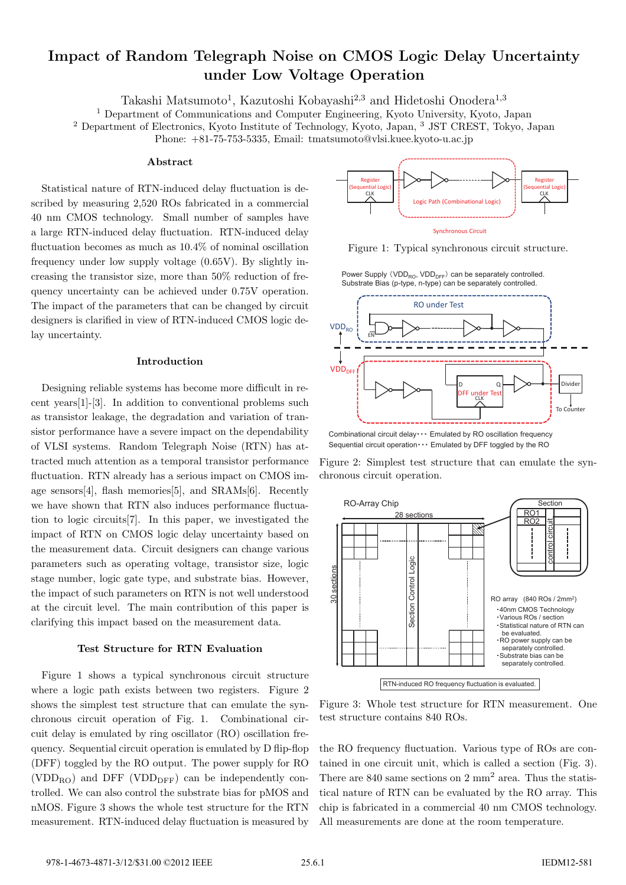# **Impact of Random Telegraph Noise on CMOS Logic Delay Uncertainty under Low Voltage Operation**

Takashi Matsumoto<sup>1</sup>, Kazutoshi Kobayashi<sup>2,3</sup> and Hidetoshi Onodera<sup>1,3</sup>

<sup>1</sup> Department of Communications and Computer Engineering, Kyoto University, Kyoto, Japan

<sup>2</sup> Department of Electronics, Kyoto Institute of Technology, Kyoto, Japan, <sup>3</sup> JST CREST, Tokyo, Japan

Phone: +81-75-753-5335, Email: tmatsumoto@vlsi.kuee.kyoto-u.ac.jp

## **Abstract**

Statistical nature of RTN-induced delay fluctuation is described by measuring 2,520 ROs fabricated in a commercial 40 nm CMOS technology. Small number of samples have a large RTN-induced delay fluctuation. RTN-induced delay fluctuation becomes as much as 10.4% of nominal oscillation frequency under low supply voltage (0.65V). By slightly increasing the transistor size, more than 50% reduction of frequency uncertainty can be achieved under 0.75V operation. The impact of the parameters that can be changed by circuit designers is clarified in view of RTN-induced CMOS logic delay uncertainty.

## **Introduction**

Designing reliable systems has become more difficult in recent years[1]-[3]. In addition to conventional problems such as transistor leakage, the degradation and variation of transistor performance have a severe impact on the dependability of VLSI systems. Random Telegraph Noise (RTN) has attracted much attention as a temporal transistor performance fluctuation. RTN already has a serious impact on CMOS image sensors[4], flash memories[5], and SRAMs[6]. Recently we have shown that RTN also induces performance fluctuation to logic circuits[7]. In this paper, we investigated the impact of RTN on CMOS logic delay uncertainty based on the measurement data. Circuit designers can change various parameters such as operating voltage, transistor size, logic stage number, logic gate type, and substrate bias. However, the impact of such parameters on RTN is not well understood at the circuit level. The main contribution of this paper is clarifying this impact based on the measurement data.

## **Test Structure for RTN Evaluation**

Figure 1 shows a typical synchronous circuit structure where a logic path exists between two registers. Figure 2 shows the simplest test structure that can emulate the synchronous circuit operation of Fig. 1. Combinational circuit delay is emulated by ring oscillator (RO) oscillation frequency. Sequential circuit operation is emulated by D flip-flop (DFF) toggled by the RO output. The power supply for RO  $(VDD_{RO})$  and DFF (VDD<sub>DFF</sub>) can be independently controlled. We can also control the substrate bias for pMOS and nMOS. Figure 3 shows the whole test structure for the RTN measurement. RTN-induced delay fluctuation is measured by



Figure 1: Typical synchronous circuit structure.

Power Supply (VDD<sub>RO</sub>, VDD<sub>DFF</sub>) can be separately controlled. Substrate Bias (p-type, n-type) can be separately controlled.



Combinational circuit delay · · · Emulated by RO oscillation frequency Sequential circuit operation $\cdots$  Emulated by DFF toggled by the RO

Figure 2: Simplest test structure that can emulate the synchronous circuit operation.



Figure 3: Whole test structure for RTN measurement. One test structure contains 840 ROs.

the RO frequency fluctuation. Various type of ROs are contained in one circuit unit, which is called a section (Fig. 3). There are  $840$  same sections on  $2 \text{ mm}^2$  area. Thus the statistical nature of RTN can be evaluated by the RO array. This chip is fabricated in a commercial 40 nm CMOS technology. All measurements are done at the room temperature.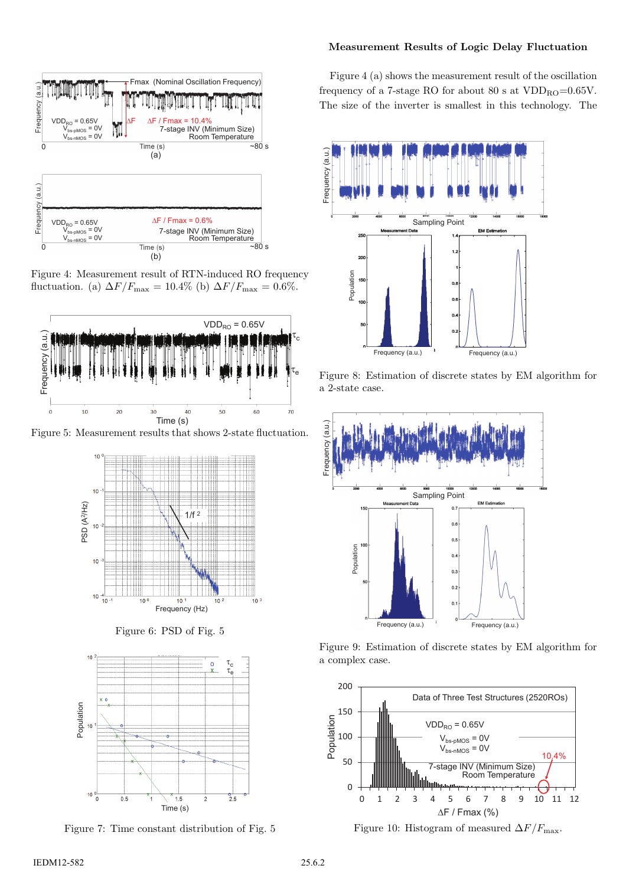

Figure 4: Measurement result of RTN-induced RO frequency fluctuation. (a)  $\Delta F/F_{\text{max}} = 10.4\%$  (b)  $\Delta F/F_{\text{max}} = 0.6\%.$ 



Figure 5: Measurement results that shows 2-state fluctuation.



Figure 6: PSD of Fig. 5



Figure 7: Time constant distribution of Fig. 5

## **Measurement Results of Logic Delay Fluctuation**

Figure 4 (a) shows the measurement result of the oscillation frequency of a 7-stage RO for about 80 s at  $VDD_{\text{RO}}=0.65V$ . The size of the inverter is smallest in this technology. The



Figure 8: Estimation of discrete states by EM algorithm for a 2-state case.



Figure 9: Estimation of discrete states by EM algorithm for a complex case.



Figure 10: Histogram of measured  $\Delta F/F_{\text{max}}$ .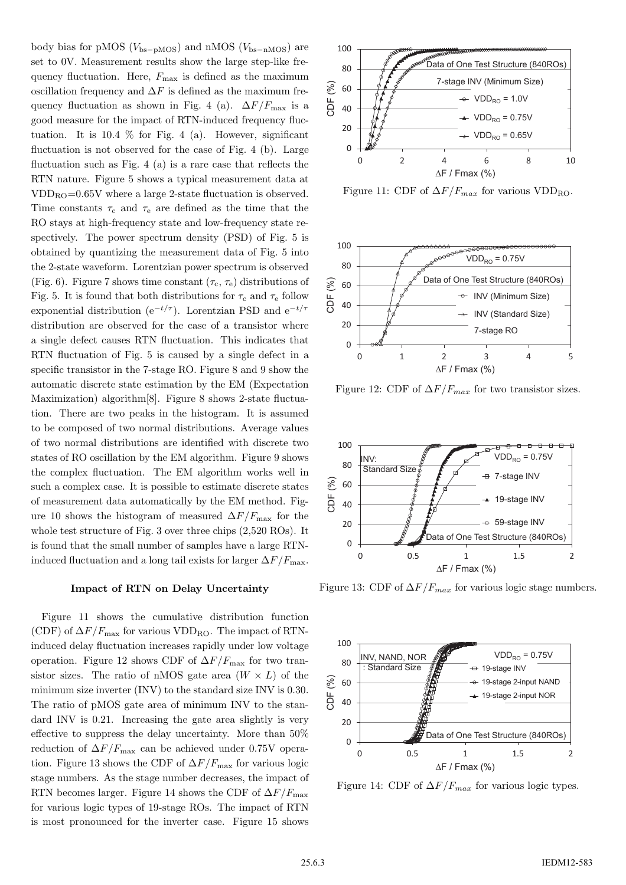body bias for pMOS (Vbs*−*pMOS) and nMOS (Vbs*−*nMOS) are set to 0V. Measurement results show the large step-like frequency fluctuation. Here,  $F_{\text{max}}$  is defined as the maximum oscillation frequency and  $\Delta F$  is defined as the maximum frequency fluctuation as shown in Fig. 4 (a).  $\Delta F/F_{\rm max}$  is a good measure for the impact of RTN-induced frequency fluctuation. It is 10.4  $\%$  for Fig. 4 (a). However, significant fluctuation is not observed for the case of Fig. 4 (b). Large fluctuation such as Fig. 4 (a) is a rare case that reflects the RTN nature. Figure 5 shows a typical measurement data at  $VDD_{\text{RO}}=0.65V$  where a large 2-state fluctuation is observed. Time constants  $\tau_c$  and  $\tau_e$  are defined as the time that the RO stays at high-frequency state and low-frequency state respectively. The power spectrum density (PSD) of Fig. 5 is obtained by quantizing the measurement data of Fig. 5 into the 2-state waveform. Lorentzian power spectrum is observed (Fig. 6). Figure 7 shows time constant  $(\tau_c, \tau_e)$  distributions of Fig. 5. It is found that both distributions for  $\tau_c$  and  $\tau_e$  follow exponential distribution ( $e^{-t/\tau}$ ). Lorentzian PSD and  $e^{-t/\tau}$ distribution are observed for the case of a transistor where a single defect causes RTN fluctuation. This indicates that RTN fluctuation of Fig. 5 is caused by a single defect in a specific transistor in the 7-stage RO. Figure 8 and 9 show the automatic discrete state estimation by the EM (Expectation Maximization) algorithm[8]. Figure 8 shows 2-state fluctuation. There are two peaks in the histogram. It is assumed to be composed of two normal distributions. Average values of two normal distributions are identified with discrete two states of RO oscillation by the EM algorithm. Figure 9 shows the complex fluctuation. The EM algorithm works well in such a complex case. It is possible to estimate discrete states of measurement data automatically by the EM method. Figure 10 shows the histogram of measured  $\Delta F/F_{\text{max}}$  for the whole test structure of Fig. 3 over three chips (2,520 ROs). It is found that the small number of samples have a large RTNinduced fluctuation and a long tail exists for larger  $\Delta F/F_{\text{max}}$ .

#### **Impact of RTN on Delay Uncertainty**

Figure 11 shows the cumulative distribution function (CDF) of  $\Delta F/F_{\text{max}}$  for various VDD<sub>RO</sub>. The impact of RTNinduced delay fluctuation increases rapidly under low voltage operation. Figure 12 shows CDF of  $\Delta F/F_{\rm max}$  for two transistor sizes. The ratio of nMOS gate area  $(W \times L)$  of the minimum size inverter (INV) to the standard size INV is 0.30. The ratio of pMOS gate area of minimum INV to the standard INV is 0.21. Increasing the gate area slightly is very effective to suppress the delay uncertainty. More than 50% reduction of  $\Delta F/F_{\text{max}}$  can be achieved under 0.75V operation. Figure 13 shows the CDF of  $\Delta F/F_{\rm max}$  for various logic stage numbers. As the stage number decreases, the impact of RTN becomes larger. Figure 14 shows the CDF of  $\Delta F/F_{\rm max}$ for various logic types of 19-stage ROs. The impact of RTN is most pronounced for the inverter case. Figure 15 shows



Figure 11: CDF of  $\Delta F/F_{max}$  for various VDD<sub>RO</sub>.



Figure 12: CDF of  $\Delta F/F_{max}$  for two transistor sizes.



Figure 13: CDF of  $\Delta F/F_{max}$  for various logic stage numbers.



Figure 14: CDF of  $\Delta F/F_{max}$  for various logic types.